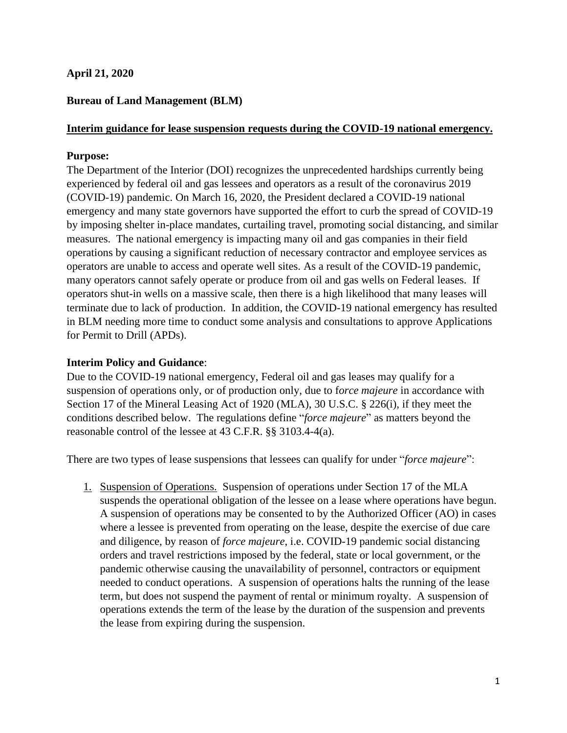## **April 21, 2020**

## **Bureau of Land Management (BLM)**

#### **Interim guidance for lease suspension requests during the COVID-19 national emergency.**

#### **Purpose:**

The Department of the Interior (DOI) recognizes the unprecedented hardships currently being experienced by federal oil and gas lessees and operators as a result of the coronavirus 2019 (COVID-19) pandemic. On March 16, 2020, the President declared a COVID-19 national emergency and many state governors have supported the effort to curb the spread of COVID-19 by imposing shelter in-place mandates, curtailing travel, promoting social distancing, and similar measures. The national emergency is impacting many oil and gas companies in their field operations by causing a significant reduction of necessary contractor and employee services as operators are unable to access and operate well sites. As a result of the COVID-19 pandemic, many operators cannot safely operate or produce from oil and gas wells on Federal leases. If operators shut-in wells on a massive scale, then there is a high likelihood that many leases will terminate due to lack of production. In addition, the COVID-19 national emergency has resulted in BLM needing more time to conduct some analysis and consultations to approve Applications for Permit to Drill (APDs).

#### **Interim Policy and Guidance**:

Due to the COVID-19 national emergency, Federal oil and gas leases may qualify for a suspension of operations only, or of production only, due to f*orce majeure* in accordance with Section 17 of the Mineral Leasing Act of 1920 (MLA), 30 U.S.C. § 226(i), if they meet the conditions described below. The regulations define "*force majeure*" as matters beyond the reasonable control of the lessee at 43 C.F.R. §§ 3103.4-4(a).

There are two types of lease suspensions that lessees can qualify for under "*force majeure*":

1. Suspension of Operations. Suspension of operations under Section 17 of the MLA suspends the operational obligation of the lessee on a lease where operations have begun. A suspension of operations may be consented to by the Authorized Officer (AO) in cases where a lessee is prevented from operating on the lease, despite the exercise of due care and diligence, by reason of *force majeure*, i.e. COVID-19 pandemic social distancing orders and travel restrictions imposed by the federal, state or local government, or the pandemic otherwise causing the unavailability of personnel, contractors or equipment needed to conduct operations. A suspension of operations halts the running of the lease term, but does not suspend the payment of rental or minimum royalty. A suspension of operations extends the term of the lease by the duration of the suspension and prevents the lease from expiring during the suspension.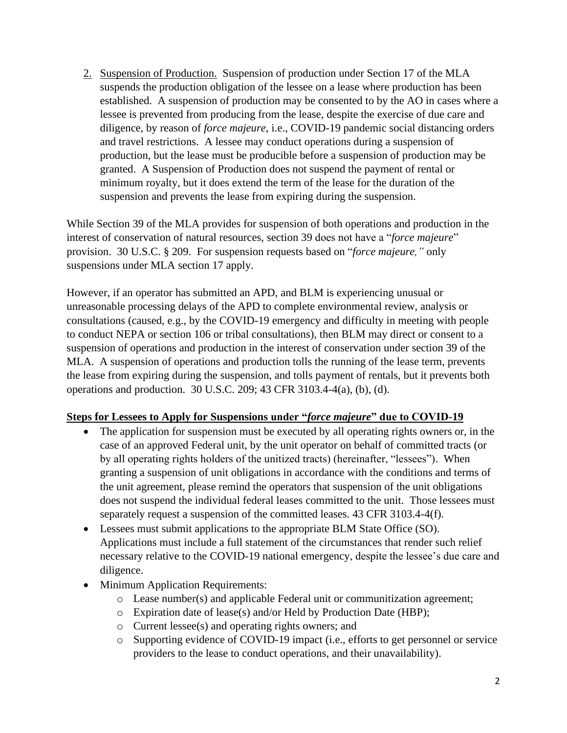2. Suspension of Production. Suspension of production under Section 17 of the MLA suspends the production obligation of the lessee on a lease where production has been established. A suspension of production may be consented to by the AO in cases where a lessee is prevented from producing from the lease, despite the exercise of due care and diligence, by reason of *force majeure*, i.e., COVID-19 pandemic social distancing orders and travel restrictions. A lessee may conduct operations during a suspension of production, but the lease must be producible before a suspension of production may be granted. A Suspension of Production does not suspend the payment of rental or minimum royalty, but it does extend the term of the lease for the duration of the suspension and prevents the lease from expiring during the suspension.

While Section 39 of the MLA provides for suspension of both operations and production in the interest of conservation of natural resources, section 39 does not have a "*force majeure*" provision. 30 U.S.C. § 209. For suspension requests based on "*force majeure,"* only suspensions under MLA section 17 apply.

However, if an operator has submitted an APD, and BLM is experiencing unusual or unreasonable processing delays of the APD to complete environmental review, analysis or consultations (caused, e.g., by the COVID-19 emergency and difficulty in meeting with people to conduct NEPA or section 106 or tribal consultations), then BLM may direct or consent to a suspension of operations and production in the interest of conservation under section 39 of the MLA. A suspension of operations and production tolls the running of the lease term, prevents the lease from expiring during the suspension, and tolls payment of rentals, but it prevents both operations and production. 30 U.S.C. 209; 43 CFR 3103.4-4(a), (b), (d).

## **Steps for Lessees to Apply for Suspensions under "***force majeure***" due to COVID-19**

- The application for suspension must be executed by all operating rights owners or, in the case of an approved Federal unit, by the unit operator on behalf of committed tracts (or by all operating rights holders of the unitized tracts) (hereinafter, "lessees"). When granting a suspension of unit obligations in accordance with the conditions and terms of the unit agreement, please remind the operators that suspension of the unit obligations does not suspend the individual federal leases committed to the unit. Those lessees must separately request a suspension of the committed leases. 43 CFR 3103.4-4(f).
- Lessees must submit applications to the appropriate BLM State Office (SO). Applications must include a full statement of the circumstances that render such relief necessary relative to the COVID-19 national emergency, despite the lessee's due care and diligence.
- Minimum Application Requirements:
	- o Lease number(s) and applicable Federal unit or communitization agreement;
	- o Expiration date of lease(s) and/or Held by Production Date (HBP);
	- o Current lessee(s) and operating rights owners; and
	- o Supporting evidence of COVID-19 impact (i.e., efforts to get personnel or service providers to the lease to conduct operations, and their unavailability).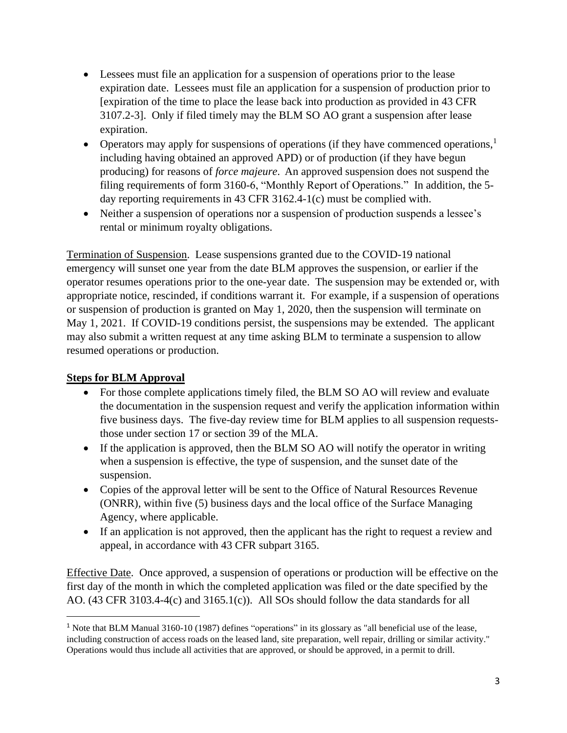- Lessees must file an application for a suspension of operations prior to the lease expiration date. Lessees must file an application for a suspension of production prior to [expiration of the time to place the lease back into production as provided in 43 CFR 3107.2-3]. Only if filed timely may the BLM SO AO grant a suspension after lease expiration.
- Operators may apply for suspensions of operations (if they have commenced operations,<sup>1</sup> including having obtained an approved APD) or of production (if they have begun producing) for reasons of *force majeure*. An approved suspension does not suspend the filing requirements of form 3160-6, "Monthly Report of Operations." In addition, the 5 day reporting requirements in 43 CFR 3162.4-1(c) must be complied with.
- Neither a suspension of operations nor a suspension of production suspends a lessee's rental or minimum royalty obligations.

Termination of Suspension. Lease suspensions granted due to the COVID-19 national emergency will sunset one year from the date BLM approves the suspension, or earlier if the operator resumes operations prior to the one-year date. The suspension may be extended or, with appropriate notice, rescinded, if conditions warrant it. For example, if a suspension of operations or suspension of production is granted on May 1, 2020, then the suspension will terminate on May 1, 2021. If COVID-19 conditions persist, the suspensions may be extended. The applicant may also submit a written request at any time asking BLM to terminate a suspension to allow resumed operations or production.

# **Steps for BLM Approval**

- For those complete applications timely filed, the BLM SO AO will review and evaluate the documentation in the suspension request and verify the application information within five business days. The five-day review time for BLM applies to all suspension requeststhose under section 17 or section 39 of the MLA.
- If the application is approved, then the BLM SO AO will notify the operator in writing when a suspension is effective, the type of suspension, and the sunset date of the suspension.
- Copies of the approval letter will be sent to the Office of Natural Resources Revenue (ONRR), within five (5) business days and the local office of the Surface Managing Agency, where applicable.
- If an application is not approved, then the applicant has the right to request a review and appeal, in accordance with 43 CFR subpart 3165.

Effective Date. Once approved, a suspension of operations or production will be effective on the first day of the month in which the completed application was filed or the date specified by the AO. (43 CFR 3103.4-4(c) and 3165.1(c)). All SOs should follow the data standards for all

<sup>&</sup>lt;sup>1</sup> Note that BLM Manual 3160-10 (1987) defines "operations" in its glossary as "all beneficial use of the lease, including construction of access roads on the leased land, site preparation, well repair, drilling or similar activity." Operations would thus include all activities that are approved, or should be approved, in a permit to drill.